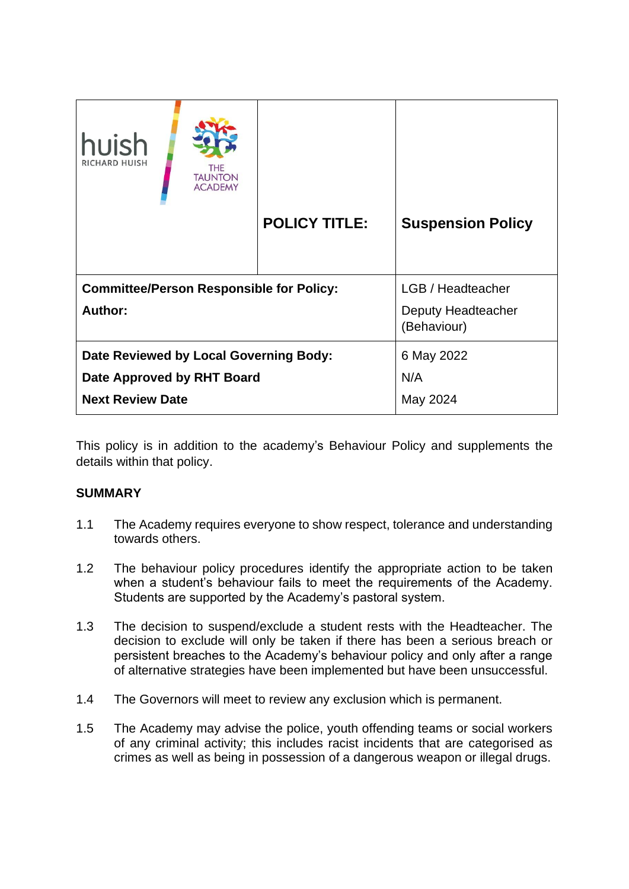| huish<br><b>RICHARD HUISH</b><br>THE<br><b>TAUNTON</b><br><b>ACADEMY</b> |                      |                                   |
|--------------------------------------------------------------------------|----------------------|-----------------------------------|
|                                                                          | <b>POLICY TITLE:</b> | <b>Suspension Policy</b>          |
|                                                                          |                      |                                   |
| <b>Committee/Person Responsible for Policy:</b>                          |                      | LGB / Headteacher                 |
| Author:                                                                  |                      | Deputy Headteacher<br>(Behaviour) |
| Date Reviewed by Local Governing Body:                                   |                      | 6 May 2022                        |
| Date Approved by RHT Board                                               |                      | N/A                               |
| <b>Next Review Date</b>                                                  |                      | May 2024                          |

This policy is in addition to the academy's Behaviour Policy and supplements the details within that policy.

# **SUMMARY**

- 1.1 The Academy requires everyone to show respect, tolerance and understanding towards others.
- 1.2 The behaviour policy procedures identify the appropriate action to be taken when a student's behaviour fails to meet the requirements of the Academy. Students are supported by the Academy's pastoral system.
- 1.3 The decision to suspend/exclude a student rests with the Headteacher. The decision to exclude will only be taken if there has been a serious breach or persistent breaches to the Academy's behaviour policy and only after a range of alternative strategies have been implemented but have been unsuccessful.
- 1.4 The Governors will meet to review any exclusion which is permanent.
- 1.5 The Academy may advise the police, youth offending teams or social workers of any criminal activity; this includes racist incidents that are categorised as crimes as well as being in possession of a dangerous weapon or illegal drugs.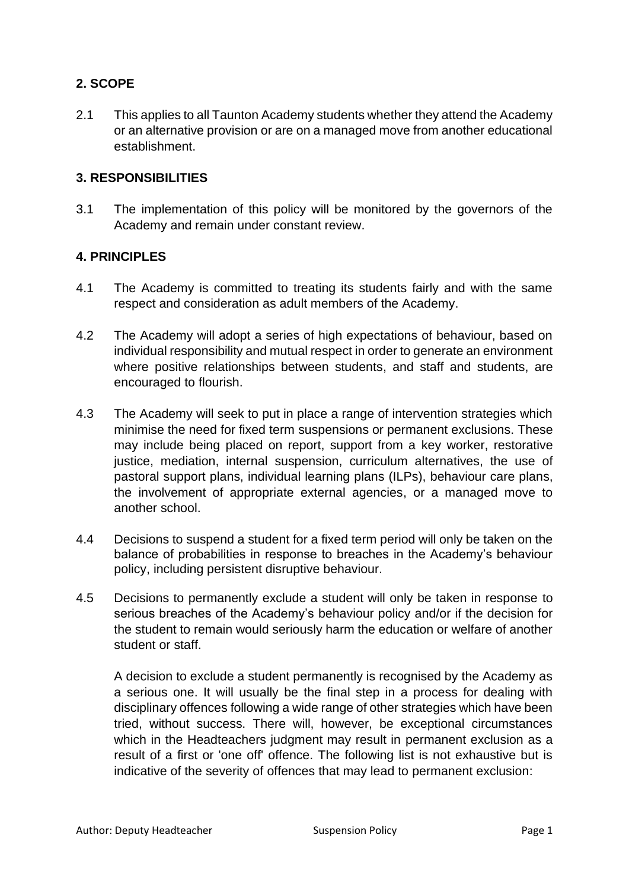# **2. SCOPE**

2.1 This applies to all Taunton Academy students whether they attend the Academy or an alternative provision or are on a managed move from another educational establishment.

### **3. RESPONSIBILITIES**

3.1 The implementation of this policy will be monitored by the governors of the Academy and remain under constant review.

### **4. PRINCIPLES**

- 4.1 The Academy is committed to treating its students fairly and with the same respect and consideration as adult members of the Academy.
- 4.2 The Academy will adopt a series of high expectations of behaviour, based on individual responsibility and mutual respect in order to generate an environment where positive relationships between students, and staff and students, are encouraged to flourish.
- 4.3 The Academy will seek to put in place a range of intervention strategies which minimise the need for fixed term suspensions or permanent exclusions. These may include being placed on report, support from a key worker, restorative justice, mediation, internal suspension, curriculum alternatives, the use of pastoral support plans, individual learning plans (ILPs), behaviour care plans, the involvement of appropriate external agencies, or a managed move to another school.
- 4.4 Decisions to suspend a student for a fixed term period will only be taken on the balance of probabilities in response to breaches in the Academy's behaviour policy, including persistent disruptive behaviour.
- 4.5 Decisions to permanently exclude a student will only be taken in response to serious breaches of the Academy's behaviour policy and/or if the decision for the student to remain would seriously harm the education or welfare of another student or staff.

A decision to exclude a student permanently is recognised by the Academy as a serious one. It will usually be the final step in a process for dealing with disciplinary offences following a wide range of other strategies which have been tried, without success. There will, however, be exceptional circumstances which in the Headteachers judgment may result in permanent exclusion as a result of a first or 'one off' offence. The following list is not exhaustive but is indicative of the severity of offences that may lead to permanent exclusion: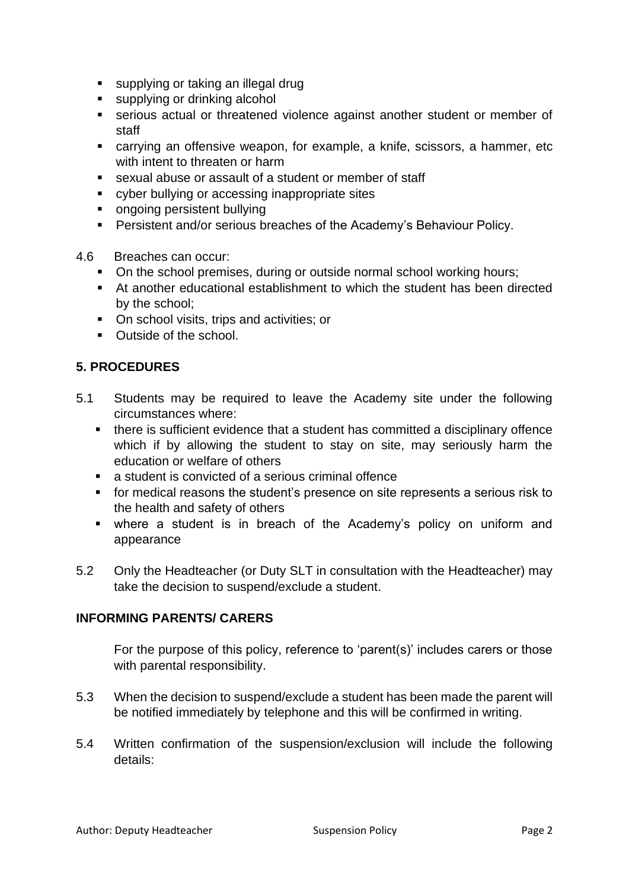- supplying or taking an illegal drug
- supplying or drinking alcohol
- serious actual or threatened violence against another student or member of staff
- carrying an offensive weapon, for example, a knife, scissors, a hammer, etc with intent to threaten or harm
- sexual abuse or assault of a student or member of staff
- cyber bullying or accessing inappropriate sites
- ongoing persistent bullying
- Persistent and/or serious breaches of the Academy's Behaviour Policy.
- 4.6 Breaches can occur:
	- On the school premises, during or outside normal school working hours;
	- At another educational establishment to which the student has been directed by the school;
	- On school visits, trips and activities; or
	- Outside of the school.

### **5. PROCEDURES**

- 5.1 Students may be required to leave the Academy site under the following circumstances where:
	- there is sufficient evidence that a student has committed a disciplinary offence which if by allowing the student to stay on site, may seriously harm the education or welfare of others
	- a student is convicted of a serious criminal offence
	- for medical reasons the student's presence on site represents a serious risk to the health and safety of others
	- where a student is in breach of the Academy's policy on uniform and appearance
- 5.2 Only the Headteacher (or Duty SLT in consultation with the Headteacher) may take the decision to suspend/exclude a student.

### **INFORMING PARENTS/ CARERS**

For the purpose of this policy, reference to 'parent(s)' includes carers or those with parental responsibility.

- 5.3 When the decision to suspend/exclude a student has been made the parent will be notified immediately by telephone and this will be confirmed in writing.
- 5.4 Written confirmation of the suspension/exclusion will include the following details: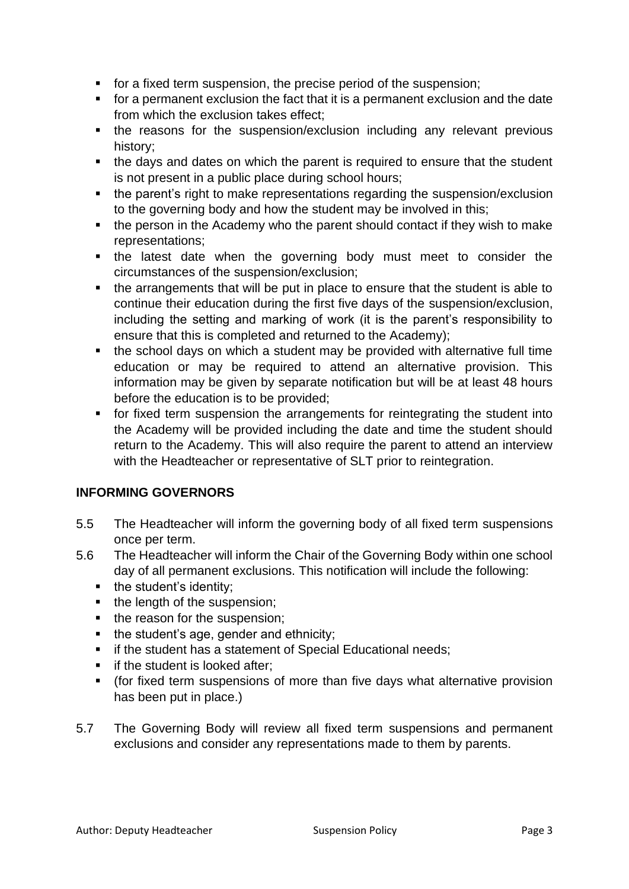- for a fixed term suspension, the precise period of the suspension;
- for a permanent exclusion the fact that it is a permanent exclusion and the date from which the exclusion takes effect;
- the reasons for the suspension/exclusion including any relevant previous history;
- the days and dates on which the parent is required to ensure that the student is not present in a public place during school hours;
- the parent's right to make representations regarding the suspension/exclusion to the governing body and how the student may be involved in this;
- the person in the Academy who the parent should contact if they wish to make representations;
- the latest date when the governing body must meet to consider the circumstances of the suspension/exclusion;
- the arrangements that will be put in place to ensure that the student is able to continue their education during the first five days of the suspension/exclusion, including the setting and marking of work (it is the parent's responsibility to ensure that this is completed and returned to the Academy);
- the school days on which a student may be provided with alternative full time education or may be required to attend an alternative provision. This information may be given by separate notification but will be at least 48 hours before the education is to be provided;
- for fixed term suspension the arrangements for reintegrating the student into the Academy will be provided including the date and time the student should return to the Academy. This will also require the parent to attend an interview with the Headteacher or representative of SLT prior to reintegration.

# **INFORMING GOVERNORS**

- 5.5 The Headteacher will inform the governing body of all fixed term suspensions once per term.
- 5.6 The Headteacher will inform the Chair of the Governing Body within one school day of all permanent exclusions. This notification will include the following:
	- the student's identity;
	- the length of the suspension;
	- the reason for the suspension:
	- the student's age, gender and ethnicity:
	- if the student has a statement of Special Educational needs;
	- **•** if the student is looked after:
	- (for fixed term suspensions of more than five days what alternative provision has been put in place.)
- 5.7 The Governing Body will review all fixed term suspensions and permanent exclusions and consider any representations made to them by parents.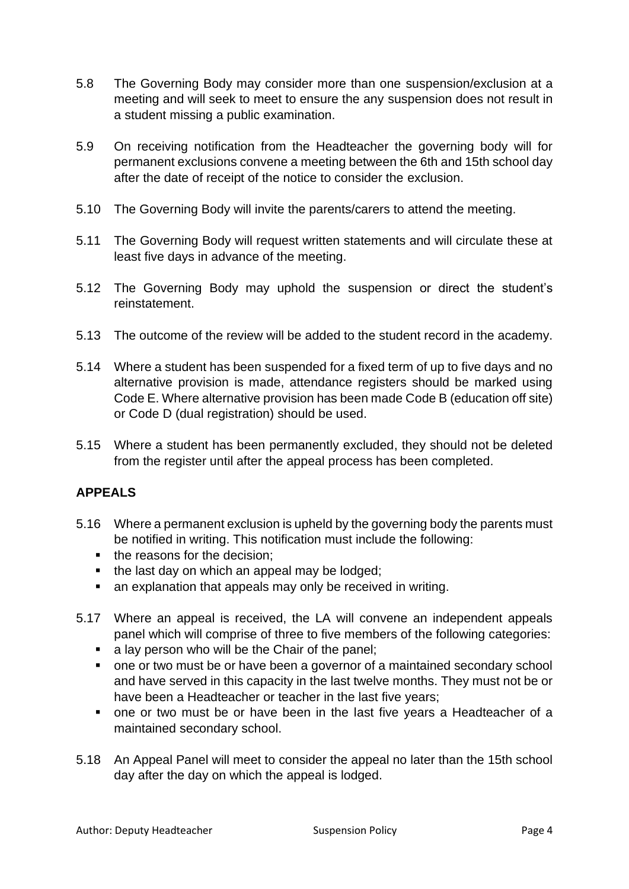- 5.8 The Governing Body may consider more than one suspension/exclusion at a meeting and will seek to meet to ensure the any suspension does not result in a student missing a public examination.
- 5.9 On receiving notification from the Headteacher the governing body will for permanent exclusions convene a meeting between the 6th and 15th school day after the date of receipt of the notice to consider the exclusion.
- 5.10 The Governing Body will invite the parents/carers to attend the meeting.
- 5.11 The Governing Body will request written statements and will circulate these at least five days in advance of the meeting.
- 5.12 The Governing Body may uphold the suspension or direct the student's reinstatement.
- 5.13 The outcome of the review will be added to the student record in the academy.
- 5.14 Where a student has been suspended for a fixed term of up to five days and no alternative provision is made, attendance registers should be marked using Code E. Where alternative provision has been made Code B (education off site) or Code D (dual registration) should be used.
- 5.15 Where a student has been permanently excluded, they should not be deleted from the register until after the appeal process has been completed.

# **APPEALS**

- 5.16 Where a permanent exclusion is upheld by the governing body the parents must be notified in writing. This notification must include the following:
	- the reasons for the decision;
	- the last day on which an appeal may be lodged;
	- an explanation that appeals may only be received in writing.
- 5.17 Where an appeal is received, the LA will convene an independent appeals panel which will comprise of three to five members of the following categories:
	- a lay person who will be the Chair of the panel;
	- one or two must be or have been a governor of a maintained secondary school and have served in this capacity in the last twelve months. They must not be or have been a Headteacher or teacher in the last five years;
	- one or two must be or have been in the last five years a Headteacher of a maintained secondary school.
- 5.18 An Appeal Panel will meet to consider the appeal no later than the 15th school day after the day on which the appeal is lodged.